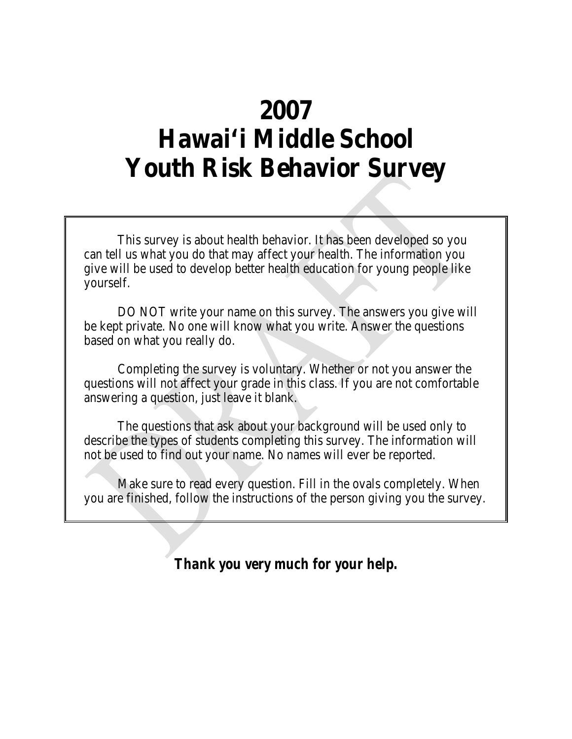# **2007 Hawai'i Middle School Youth Risk Behavior Survey**

This survey is about health behavior. It has been developed so you can tell us what you do that may affect your health. The information you give will be used to develop better health education for young people like yourself.

DO NOT write your name on this survey. The answers you give will be kept private. No one will know what you write. Answer the questions based on what you really do.

Completing the survey is voluntary. Whether or not you answer the questions will not affect your grade in this class. If you are not comfortable answering a question, just leave it blank.

The questions that ask about your background will be used only to describe the types of students completing this survey. The information will not be used to find out your name. No names will ever be reported.

Make sure to read every question. Fill in the ovals completely. When you are finished, follow the instructions of the person giving you the survey.

*Thank you very much for your help.*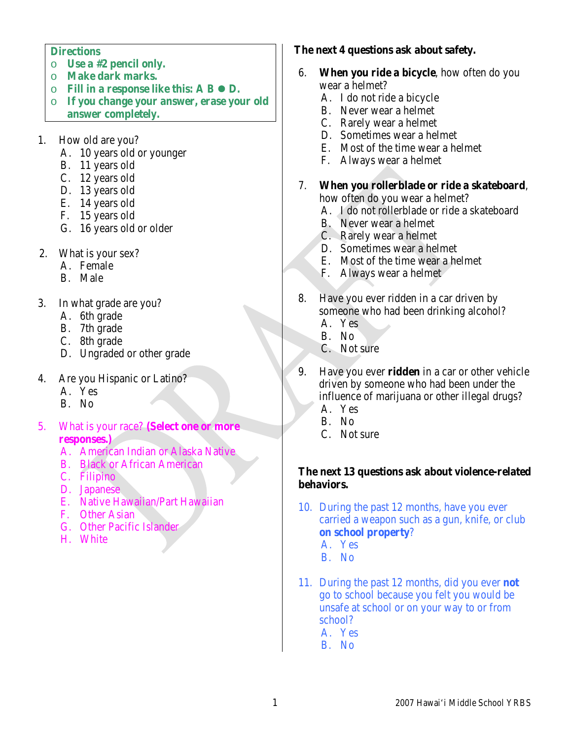#### **Directions**

- o **Use a #2 pencil only.**
- o **Make dark marks.**
- o **Fill in a response like this: A B D.**
- o **If you change your answer, erase your old answer completely.**
- 1. How old are you?
	- A. 10 years old or younger
	- B. 11 years old
	- C. 12 years old
	- D. 13 years old
	- E. 14 years old
	- F. 15 years old
	- G. 16 years old or older
- 2. What is your sex?
	- A. Female
	- B. Male
- 3. In what grade are you?
	- A. 6th grade
	- B. 7th grade
	- C. 8th grade
	- D. Ungraded or other grade
- 4. Are you Hispanic or Latino?
	- A. Yes
	- B. No
- 5. What is your race? **(Select one or more responses.)**
	- A. American Indian or Alaska Native
	- B. Black or African American
	- C. Filipino
	- D. Japanese
	- E. Native Hawaiian/Part Hawaiian
	- F. Other Asian
	- G. Other Pacific Islander
	- H. White

#### **The next 4 questions ask about safety.**

- 6. **When you ride a bicycle**, how often do you wear a helmet?
	- A. I do not ride a bicycle
	- B. Never wear a helmet
	- C. Rarely wear a helmet
	- D. Sometimes wear a helmet
	- E. Most of the time wear a helmet
	- F. Always wear a helmet
- 7. **When you rollerblade or ride a skateboard**, how often do you wear a helmet?
	- A. I do not rollerblade or ride a skateboard
	- B. Never wear a helmet
	- C. Rarely wear a helmet
	- D. Sometimes wear a helmet
	- E. Most of the time wear a helmet
	- F. Always wear a helmet
- 8. Have you ever ridden in a car driven by someone who had been drinking alcohol?
	- A. Yes
	- B. No
	- C. Not sure
- 9. Have you ever **ridden** in a car or other vehicle driven by someone who had been under the influence of marijuana or other illegal drugs?
	- A. Yes
	- B. No
	- C. Not sure

### **The next 13 questions ask about violence-related behaviors.**

- 10. During the past 12 months, have you ever carried a weapon such as a gun, knife, or club **on school property**?
	- A. Yes
	- B. No
- 11. During the past 12 months, did you ever **not** go to school because you felt you would be unsafe at school or on your way to or from school? A. Yes

B. No

1 2007 Hawai'i Middle School YRBS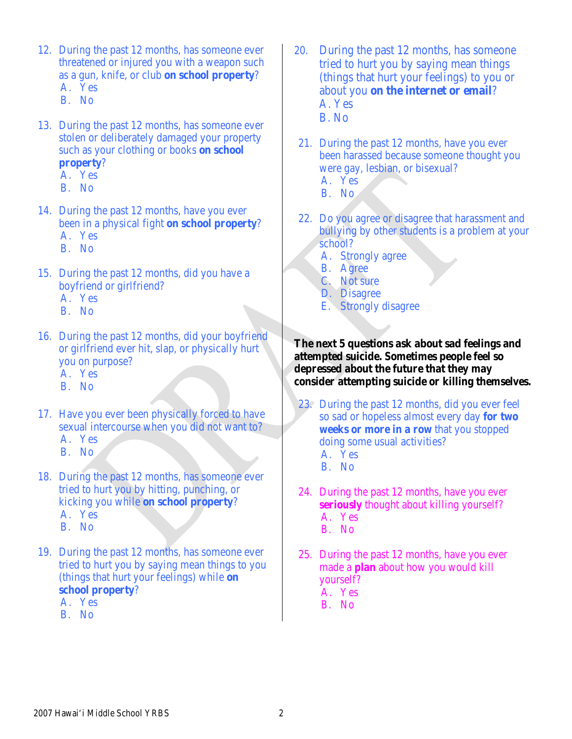- 12. During the past 12 months, has someone ever threatened or injured you with a weapon such as a gun, knife, or club **on school property**? A. Yes
	- B. No
- 13. During the past 12 months, has someone ever stolen or deliberately damaged your property such as your clothing or books **on school property**?
	- A. Yes
	- B. No
- 14. During the past 12 months, have you ever been in a physical fight **on school property**? A. Yes
	- B. No
- 15. During the past 12 months, did you have a boyfriend or girlfriend?
	- A. Yes
	- B. No
- 16. During the past 12 months, did your boyfriend or girlfriend ever hit, slap, or physically hurt you on purpose?
	- A. Yes
	- B. No
- 17. Have you ever been physically forced to have sexual intercourse when you did not want to? A. Yes
	- B. No
- 18. During the past 12 months, has someone ever tried to hurt you by hitting, punching, or kicking you while **on school property**? A. Yes B. No
- 19. During the past 12 months, has someone ever tried to hurt you by saying mean things to you (things that hurt your feelings) while **on** 
	- **school property**?
	- A. Yes
	- B. No
- 20. During the past 12 months, has someone tried to hurt you by saying mean things (things that hurt your feelings) to you or about you **on the internet or email**? A. Yes B. No
	- 21. During the past 12 months, have you ever been harassed because someone thought you were gay, lesbian, or bisexual?
		- A. Yes
		- B. No
- 22. Do you agree or disagree that harassment and bullying by other students is a problem at your school?
	- A. Strongly agree
	- B. Agree
	- C. Not sure
	- D. Disagree
	- E. Strongly disagree

### **The next 5 questions ask about sad feelings and attempted suicide. Sometimes people feel so depressed about the future that they may consider attempting suicide or killing themselves.**

- 23. During the past 12 months, did you ever feel so sad or hopeless almost every day **for two weeks or more in a row** that you stopped doing some usual activities? A. Yes
	- B. No
- 24. During the past 12 months, have you ever **seriously** thought about killing yourself? A. Yes B. No
- 25. During the past 12 months, have you ever made a **plan** about how you would kill yourself? A. Yes B. No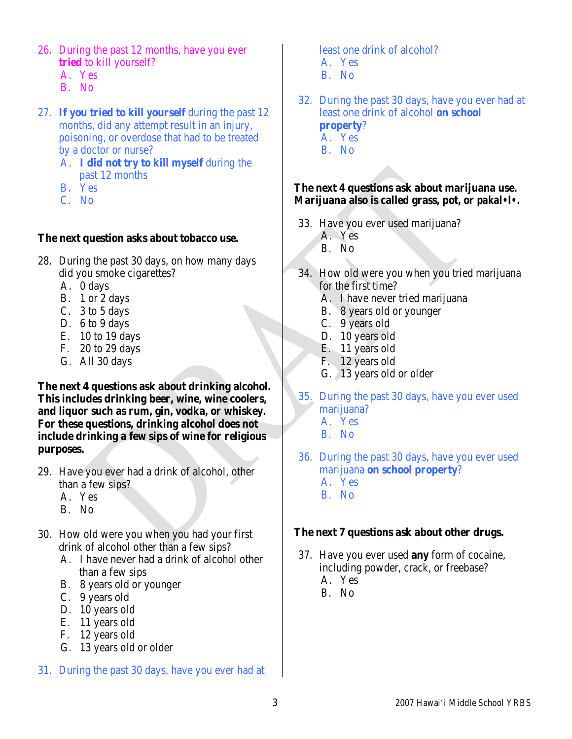- 26. During the past 12 months, have you ever **tried** to kill yourself?
	- A. Yes
	- B. No
- 27. **If you tried to kill yourself** during the past 12 months, did any attempt result in an injury, poisoning, or overdose that had to be treated by a doctor or nurse?
	- A. **I did not try to kill myself** during the past 12 months
	- B. Yes
	- C. No

#### **The next question asks about tobacco use.**

- 28. During the past 30 days, on how many days did you smoke cigarettes?
	- A. 0 days
	- B. 1 or 2 days
	- C. 3 to 5 days
	- D. 6 to 9 days
	- E. 10 to 19 days
	- F. 20 to 29 days
	- G. All 30 days

**The next 4 questions ask about drinking alcohol. This includes drinking beer, wine, wine coolers, and liquor such as rum, gin, vodka, or whiskey. For these questions, drinking alcohol does not include drinking a few sips of wine for religious purposes.**

- 29. Have you ever had a drink of alcohol, other than a few sips?
	- A. Yes
	- B. No
- 30. How old were you when you had your first drink of alcohol other than a few sips?
	- A. I have never had a drink of alcohol other than a few sips
	- B. 8 years old or younger
	- C. 9 years old
	- D. 10 years old
	- E. 11 years old
	- F. 12 years old
	- G. 13 years old or older
- 31. During the past 30 days, have you ever had at

least one drink of alcohol? A. Yes B. No

32. During the past 30 days, have you ever had at least one drink of alcohol **on school property**? A. Yes B. No

## **The next 4 questions ask about marijuana use. Marijuana also is called grass, pot, or** *pakal•l•.*

- 33. Have you ever used marijuana? A. Yes
	- B. No
- 34. How old were you when you tried marijuana for the first time?
	- A. I have never tried marijuana
	- B. 8 years old or younger
	- C. 9 years old
	- D. 10 years old
	- E. 11 years old
	- F. 12 years old
	- G. 13 years old or older
- 35. During the past 30 days, have you ever used marijuana?
	- A. Yes
	- B. No
- 36. During the past 30 days, have you ever used marijuana **on school property**? A. Yes
	- B. No

## **The next 7 questions ask about other drugs.**

- 37. Have you ever used **any** form of cocaine, including powder, crack, or freebase? A. Yes
	- B. No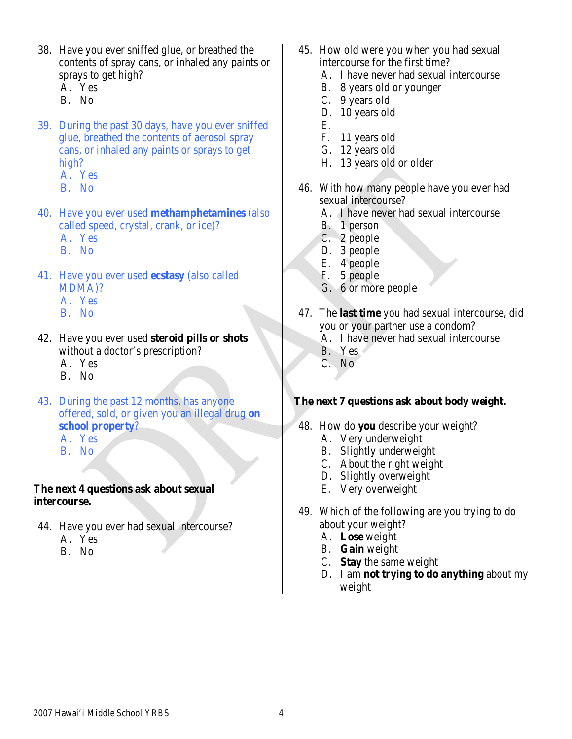- 38. Have you ever sniffed glue, or breathed the contents of spray cans, or inhaled any paints or sprays to get high?
	- A. Yes
	- B. No
- 39. During the past 30 days, have you ever sniffed glue, breathed the contents of aerosol spray cans, or inhaled any paints or sprays to get high?
	- A. Yes
	- B. No
- 40. Have you ever used **methamphetamines** (also called speed, crystal, crank, or ice)? A. Yes
	- B. No
- 41. Have you ever used **ecstasy** (also called MDMA)?
	- A. Yes
	- B. No
- 42. Have you ever used **steroid pills or shots**  without a doctor's prescription? A. Yes
	- B. No
- 43. During the past 12 months, has anyone offered, sold, or given you an illegal drug **on school property**?
	- A. Yes
	- B. No

### **The next 4 questions ask about sexual intercourse.**

- 44. Have you ever had sexual intercourse?
	- A. Yes
	- B. No
- 45. How old were you when you had sexual intercourse for the first time?
	- A. I have never had sexual intercourse
	- B. 8 years old or younger
	- C. 9 years old
	- D. 10 years old
	- E.
	- F. 11 years old
	- G. 12 years old
	- H. 13 years old or older
- 46. With how many people have you ever had sexual intercourse?
	- A. I have never had sexual intercourse
	- B. 1 person
	- C. 2 people
	- D. 3 people
	- E. 4 people
	- F. 5 people
	- G. 6 or more people
- 47. The **last time** you had sexual intercourse, did you or your partner use a condom?
	- A. I have never had sexual intercourse
	- B. Yes
	- C. No

## **The next 7 questions ask about body weight.**

- 48. How do **you** describe your weight?
	- A. Very underweight
	- B. Slightly underweight
	- C. About the right weight
	- D. Slightly overweight
	- E. Very overweight
- 49. Which of the following are you trying to do about your weight?
	- A. **Lose** weight
	- B. **Gain** weight
	- C. **Stay** the same weight
	- D. I am **not trying to do anything** about my weight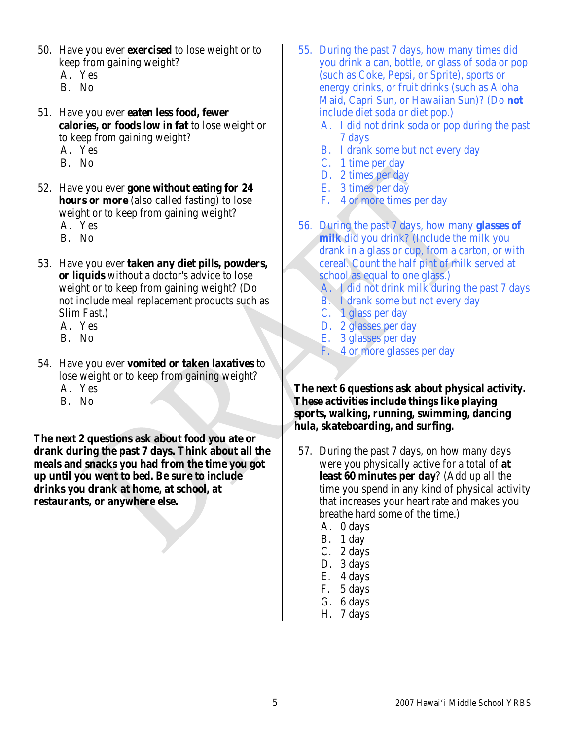- 50. Have you ever **exercised** to lose weight or to keep from gaining weight?
	- A. Yes
	- B. No
- 51. Have you ever **eaten less food, fewer calories, or foods low in fat** to lose weight or to keep from gaining weight?
	- A. Yes
	- B. No
- 52. Have you ever **gone without eating for 24 hours or more** (also called fasting) to lose weight or to keep from gaining weight? A. Yes
	-
	- B. No
- 53. Have you ever **taken any diet pills, powders, or liquids** without a doctor's advice to lose weight or to keep from gaining weight? (Do not include meal replacement products such as Slim Fast.)
	- A. Yes
	- B. No
- 54. Have you ever **vomited or taken laxatives** to lose weight or to keep from gaining weight?
	- A. Yes
	- B. No

**The next 2 questions ask about food you ate or drank during the past 7 days. Think about all the meals and snacks you had from the time you got up until you went to bed. Be sure to include drinks you drank at home, at school, at restaurants, or anywhere else.**

- 55. During the past 7 days, how many times did you drink a can, bottle, or glass of soda or pop (such as Coke, Pepsi, or Sprite), sports or energy drinks, or fruit drinks (such as Aloha Maid, Capri Sun, or Hawaiian Sun)? (Do **not** include diet soda or diet pop.)
	- A. I did not drink soda or pop during the past 7 days
	- B. I drank some but not every day
	- C. 1 time per day
	- D. 2 times per day
	- E. 3 times per day
	- F. 4 or more times per day
- 56. During the past 7 days, how many **glasses of milk** did you drink? (Include the milk you drank in a glass or cup, from a carton, or with cereal. Count the half pint of milk served at school as equal to one glass.)
	- A. I did not drink milk during the past 7 days
	- B. I drank some but not every day
	- C. 1 glass per day
	- D. 2 glasses per day
	- E. 3 glasses per day
	- F. 4 or more glasses per day

**The next 6 questions ask about physical activity. These activities include things like playing sports, walking, running, swimming, dancing hula, skateboarding, and surfing.**

- 57. During the past 7 days, on how many days were you physically active for a total of **at least 60 minutes per day**? (Add up all the time you spend in any kind of physical activity that increases your heart rate and makes you breathe hard some of the time.)
	- A. 0 days
	- B. 1 day
	- C. 2 days
	- D. 3 days
	- E. 4 days
	- F. 5 days
	- G. 6 days
	- H. 7 days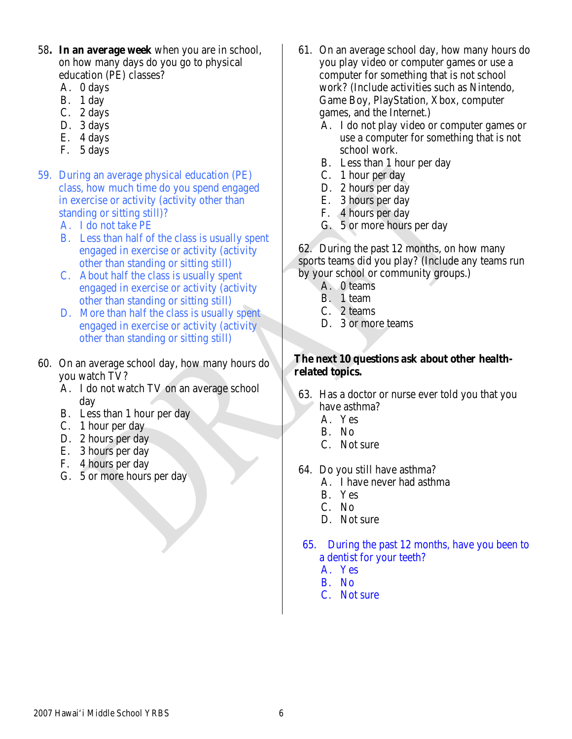- 58**. In an average week** when you are in school, on how many days do you go to physical education (PE) classes?
	- A. 0 days
	- B. 1 day
	- C. 2 days
	- D. 3 days
	- E. 4 days
	- F. 5 days
- 59. During an average physical education (PE) class, how much time do you spend engaged in exercise or activity (activity other than standing or sitting still)?
	- A. I do not take PE
	- B. Less than half of the class is usually spent engaged in exercise or activity (activity other than standing or sitting still)
	- C. About half the class is usually spent engaged in exercise or activity (activity other than standing or sitting still)
	- D. More than half the class is usually spent engaged in exercise or activity (activity other than standing or sitting still)
- 60. On an average school day, how many hours do you watch TV?
	- A. I do not watch TV on an average school day
	- B. Less than 1 hour per day
	- C. 1 hour per day
	- D. 2 hours per day
	- E. 3 hours per day
	- F. 4 hours per day
	- G. 5 or more hours per day
- 61. On an average school day, how many hours do you play video or computer games or use a computer for something that is not school work? (Include activities such as Nintendo, Game Boy, PlayStation, Xbox, computer games, and the Internet.)
	- A. I do not play video or computer games or use a computer for something that is not school work.
	- B. Less than 1 hour per day
	- C. 1 hour per day
	- D. 2 hours per day
	- E. 3 hours per day
	- F. 4 hours per day
	- G. 5 or more hours per day

62. During the past 12 months, on how many sports teams did you play? (Include any teams run by your school or community groups.)

- A. 0 teams
- B. 1 team
- C. 2 teams
- D. 3 or more teams

### **The next 10 questions ask about other healthrelated topics.**

- 63. Has a doctor or nurse ever told you that you have asthma?
	- A. Yes
	- B. No
	- C. Not sure
- 64. Do you still have asthma?
	- A. I have never had asthma
	- B. Yes
	- C. No
	- D. Not sure
- 65. During the past 12 months, have you been to a dentist for your teeth?
	- A. Yes
	- B. No
	- C. Not sure